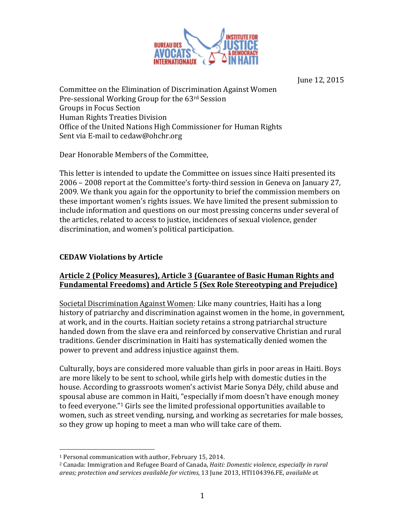

June 12, 2015

Committee on the Elimination of Discrimination Against Women Pre-sessional Working Group for the 63rd Session Groups in Focus Section Human Rights Treaties Division Office of the United Nations High Commissioner for Human Rights Sent via E-mail to cedaw@ohchr.org

Dear Honorable Members of the Committee,

This letter is intended to update the Committee on issues since Haiti presented its 2006 – 2008 report at the Committee's forty-third session in Geneva on January 27, 2009. We thank you again for the opportunity to brief the commission members on these important women's rights issues. We have limited the present submission to include information and questions on our most pressing concerns under several of the articles, related to access to justice, incidences of sexual violence, gender discrimination, and women's political participation.

## **CEDAW Violations by Article**

## Article 2 (Policy Measures), Article 3 (Guarantee of Basic Human Rights and **Fundamental Freedoms) and Article 5 (Sex Role Stereotyping and Prejudice)**

Societal Discrimination Against Women: Like many countries, Haiti has a long history of patriarchy and discrimination against women in the home, in government, at work, and in the courts. Haitian society retains a strong patriarchal structure handed down from the slave era and reinforced by conservative Christian and rural traditions. Gender discrimination in Haiti has systematically denied women the power to prevent and address injustice against them.

Culturally, boys are considered more valuable than girls in poor areas in Haiti. Boys are more likely to be sent to school, while girls help with domestic duties in the house. According to grassroots women's activist Marie Sonya Dély, child abuse and spousal abuse are common in Haiti, "especially if mom doesn't have enough money to feed everyone."<sup>1</sup> Girls see the limited professional opportunities available to women, such as street vending, nursing, and working as secretaries for male bosses, so they grow up hoping to meet a man who will take care of them.

<sup>!!!!!!!!!!!!!!!!!!!!!!!!!!!!!!!!!!!!!!!!!!!!!!!!!!!!!!!</sup>  $1$  Personal communication with author, February 15, 2014.

<sup>&</sup>lt;sup>2</sup> Canada: Immigration and Refugee Board of Canada, *Haiti: Domestic violence, especially in rural areas;&protection&and&services&available&for&victims*,!13!June!2013, HTI104396.FE, *available&a*t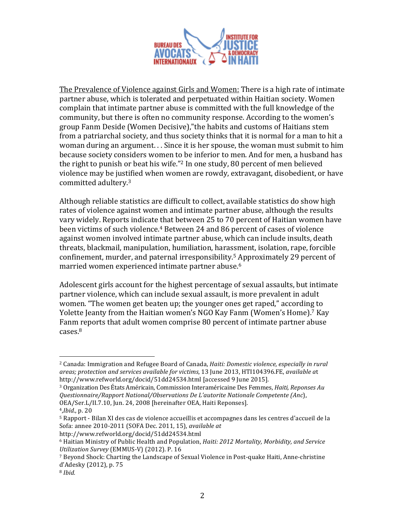

The Prevalence of Violence against Girls and Women: There is a high rate of intimate partner abuse, which is tolerated and perpetuated within Haitian society. Women complain that intimate partner abuse is committed with the full knowledge of the community, but there is often no community response. According to the women's group Fanm Deside (Women Decisive),"the habits and customs of Haitians stem from a patriarchal society, and thus society thinks that it is normal for a man to hit a woman during an argument. . . Since it is her spouse, the woman must submit to him because society considers women to be inferior to men. And for men, a husband has the right to punish or beat his wife."<sup>2</sup> In one study, 80 percent of men believed violence may be justified when women are rowdy, extravagant, disobedient, or have committed adultery.<sup>3</sup>

Although reliable statistics are difficult to collect, available statistics do show high rates of violence against women and intimate partner abuse, although the results vary widely. Reports indicate that between 25 to 70 percent of Haitian women have been victims of such violence.<sup>4</sup> Between 24 and 86 percent of cases of violence against women involved intimate partner abuse, which can include insults, death threats, blackmail, manipulation, humiliation, harassment, isolation, rape, forcible confinement, murder, and paternal irresponsibility.<sup>5</sup> Approximately 29 percent of married women experienced intimate partner abuse.<sup>6</sup>

Adolescent girls account for the highest percentage of sexual assaults, but intimate partner violence, which can include sexual assault, is more prevalent in adult women. "The women get beaten up; the younger ones get raped," according to Yolette Jeanty from the Haitian women's NGO Kay Fanm (Women's Home).<sup>7</sup> Kay Fanm reports that adult women comprise 80 percent of intimate partner abuse cases. 8

http://www.refworld.org/docid/51dd24534.html

<sup>&</sup>lt;sup>2</sup> Canada: Immigration and Refugee Board of Canada, *Haiti: Domestic violence, especially in rural areas;&protection&and&services&available&for&victims*,!13!June!2013, HTI104396.FE, *available&a*t http://www.refworld.org/docid/51dd24534.html [accessed 9 June 2015].

<sup>&</sup>lt;sup>3</sup> Organization Des États Américain, Commission Interaméricaine Des Femmes, *Haiti, Reponses Au Questionnaire/Rapport&National/Observations&De&L'autorite&Nationale&Competente&(Anc*), OEA/Ser.L/II.7.10, Jun. 24, 2008 [hereinafter OEA, Haiti Reponses].

<sup>4,</sup>*Ibid.*, p. 20

 $5$  Rapport - Bilan XI des cas de violence accueillis et accompagnes dans les centres d'accueil de la Sofa: annee 2010-2011 (SOFA Dec. 2011, 15), *available at* 

<sup>6</sup> Haitian!Ministry!of!Public!Health!and!Population,!*Haiti: 2012&Mortality,&Morbidity,&and&Service& Utilization Survey* (EMMUS-V) (2012). P. 16

<sup>&</sup>lt;sup>7</sup> Beyond Shock: Charting the Landscape of Sexual Violence in Post-quake Haiti, Anne-christine d'Adesky (2012), p. 75

<sup>8</sup> *Ibid.*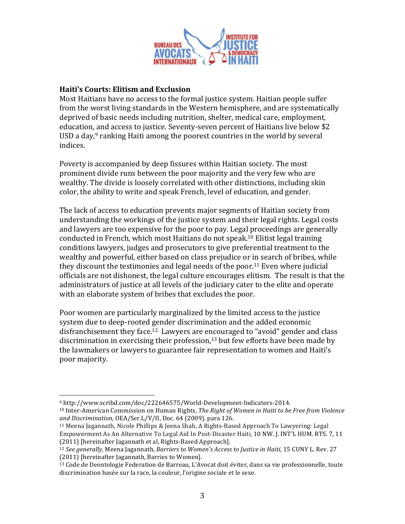

#### **Haiti's Courts: Elitism and Exclusion**

Most Haitians have no access to the formal justice system. Haitian people suffer from the worst living standards in the Western hemisphere, and are systematically deprived of basic needs including nutrition, shelter, medical care, employment, education, and access to justice. Seventy-seven percent of Haitians live below \$2 USD a day, $9$  ranking Haiti among the poorest countries in the world by several indices.

Poverty is accompanied by deep fissures within Haitian society. The most prominent divide runs between the poor majority and the very few who are wealthy. The divide is loosely correlated with other distinctions, including skin color, the ability to write and speak French, level of education, and gender.

The lack of access to education prevents major segments of Haitian society from understanding the workings of the justice system and their legal rights. Legal costs and lawyers are too expensive for the poor to pay. Legal proceedings are generally conducted in French, which most Haitians do not speak.<sup>10</sup> Elitist legal training conditions lawyers, judges and prosecutors to give preferential treatment to the wealthy and powerful, either based on class prejudice or in search of bribes, while they discount the testimonies and legal needs of the poor.<sup>11</sup> Even where judicial officials are not dishonest, the legal culture encourages elitism. The result is that the administrators of justice at all levels of the judiciary cater to the elite and operate with an elaborate system of bribes that excludes the poor.

Poor women are particularly marginalized by the limited access to the justice system due to deep-rooted gender discrimination and the added economic disfranchisement they face.<sup>12</sup> Lawyers are encouraged to "avoid" gender and class discrimination in exercising their profession, $13$  but few efforts have been made by the lawmakers or lawyers to guarantee fair representation to women and Haiti's poor majority.

<sup>9</sup> http://www.scribd.com/doc/222646575/World=Development=Indicators=2014.

<sup>&</sup>lt;sup>10</sup> Inter-American Commission on Human Rights, *The Right of Women in Haiti to be Free from Violence* and Discrimination, OEA/Ser.L/V/II, Doc. 64 (2009). para 126.

<sup>&</sup>lt;sup>11</sup> Meena Jagannath, Nicole Phillips & Jeena Shah, A Rights-Based Approach To Lawyering: Legal Empowerment As An Alternative To Legal Aid In Post-Disaster Haiti, 10 NW. J. INT'L HUM. RTS. 7, 11 (2011) [hereinafter Jagannath et al, Rights-Based Approach].

<sup>&</sup>lt;sup>12</sup> *See generally*, Meena Jagannath, *Barriers to Women's Access to Justice in Haiti*, 15 CUNY L. Rev. 27 (2011) [hereinafter Jagannath, Barries to Women].

 $13$  Code de Deontologie Federation de Barreau, L'Avocat doit éviter, dans sa vie professionnelle, toute discrimination basée sur la race, la couleur, l'origine sociale et le sexe.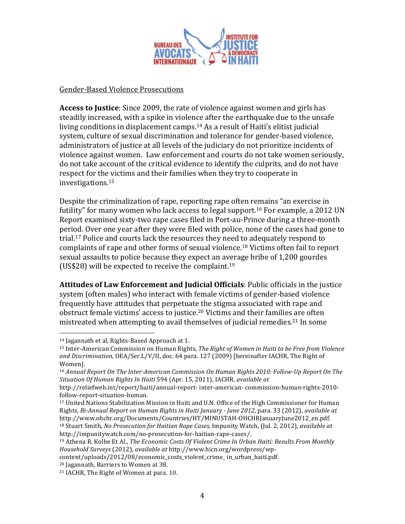

Gender-Based Violence Prosecutions

**Access to Justice**: Since 2009, the rate of violence against women and girls has steadily increased, with a spike in violence after the earthquake due to the unsafe living conditions in displacement camps.<sup>14</sup> As a result of Haiti's elitist judicial system, culture of sexual discrimination and tolerance for gender-based violence. administrators of justice at all levels of the judiciary do not prioritize incidents of violence against women. Law enforcement and courts do not take women seriously, do not take account of the critical evidence to identify the culprits, and do not have respect for the victims and their families when they try to cooperate in investigations.15

Despite the criminalization of rape, reporting rape often remains "an exercise in futility" for many women who lack access to legal support.<sup>16</sup> For example, a 2012 UN Report examined sixty-two rape cases filed in Port-au-Prince during a three-month period. Over one year after they were filed with police, none of the cases had gone to trial.<sup>17</sup> Police and courts lack the resources they need to adequately respond to complaints of rape and other forms of sexual violence.<sup>18</sup> Victims often fail to report sexual assaults to police because they expect an average bribe of 1,200 gourdes (US\$28) will be expected to receive the complaint.<sup>19</sup>

**Attitudes of Law Enforcement and Judicial Officials**: Public officials in the justice system (often males) who interact with female victims of gender-based violence frequently have attitudes that perpetuate the stigma associated with rape and obstruct female victims' access to justice.<sup>20</sup> Victims and their families are often mistreated when attempting to avail themselves of judicial remedies.<sup>21</sup> In some

<sup>&</sup>lt;sup>14</sup> Jagannath et al, Rights-Based Approach at 1.

<sup>&</sup>lt;sup>15</sup> Inter-American Commission on Human Rights, *The Right of Women in Haiti to be Free from Violence* and *Discrimination*, OEA/Ser.L/V/II, doc. 64 para. 127 (2009) [hereinafter IACHR, The Right of Women].

<sup>&</sup>lt;sup>16</sup> Annual Report On The Inter-American Commission On Human Rights 2010: Follow-Up Report On The *Situation&Of&Human&Rights&In&Haiti&*594!(Apr.!15,!2011),!IACHR,!*available&at&*

http://reliefweb.int/report/haiti/annual-report-inter-american-commission-human-rights-2010follow-report-situation-human.

<sup>&</sup>lt;sup>17</sup> United Nations Stabilization Mission in Haiti and U.N. Office of the High Commissioner for Human Rights, *Bi-Annual Report on Human Rights in Haiti January - June 2012*, para. 33 (2012), *available at* http://www.ohchr.org/Documents/Countries/HT/MINUSTAH=OHCHRJanuaryJune2012\_en.pdf. <sup>18</sup> Stuart Smith, *No Prosecution for Haitian Rape Cases*, Impunity Watch, (Jul. 2, 2012), *available at* http://impunitywatch.com/no-prosecution-for-haitian-rape-cases/.

<sup>&</sup>lt;sup>19</sup> Athena R. Kolbe Et Al., *The Economic Costs Of Violent Crime In Urban Haiti: Results From Monthly Household&Surveys&*(2012),!*available&at&*http://www.hicn.org/wordpress/wp=

content/uploads/2012/08/economic costs violent crime in urban haiti.pdf.

<sup>&</sup>lt;sup>20</sup> Jagannath, Barriers to Women at 38.

 $21$  IACHR, The Right of Women at para. 10.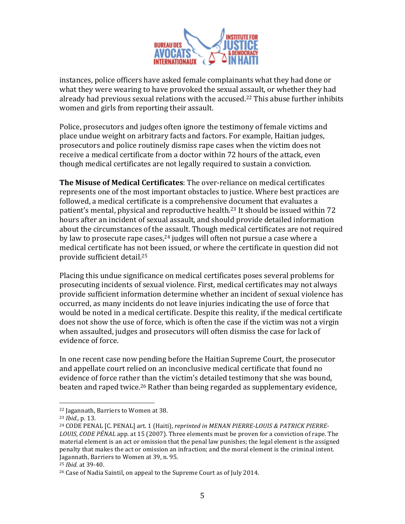

instances, police officers have asked female complainants what they had done or what they were wearing to have provoked the sexual assault, or whether they had already had previous sexual relations with the accused.<sup>22</sup> This abuse further inhibits women and girls from reporting their assault.

Police, prosecutors and judges often ignore the testimony of female victims and place undue weight on arbitrary facts and factors. For example, Haitian judges, prosecutors and police routinely dismiss rape cases when the victim does not receive a medical certificate from a doctor within 72 hours of the attack, even though medical certificates are not legally required to sustain a conviction.

**The Misuse of Medical Certificates**: The over-reliance on medical certificates represents one of the most important obstacles to justice. Where best practices are followed, a medical certificate is a comprehensive document that evaluates a patient's mental, physical and reproductive health.<sup>23</sup> It should be issued within 72 hours after an incident of sexual assault, and should provide detailed information about the circumstances of the assault. Though medical certificates are not required by law to prosecute rape cases, $24$  judges will often not pursue a case where a medical certificate has not been issued, or where the certificate in question did not provide sufficient detail.<sup>25</sup>

Placing this undue significance on medical certificates poses several problems for prosecuting incidents of sexual violence. First, medical certificates may not always provide sufficient information determine whether an incident of sexual violence has occurred, as many incidents do not leave injuries indicating the use of force that would be noted in a medical certificate. Despite this reality, if the medical certificate does not show the use of force, which is often the case if the victim was not a virgin when assaulted, judges and prosecutors will often dismiss the case for lack of evidence of force.

In one recent case now pending before the Haitian Supreme Court, the prosecutor and appellate court relied on an inconclusive medical certificate that found no evidence of force rather than the victim's detailed testimony that she was bound, beaten and raped twice.<sup>26</sup> Rather than being regarded as supplementary evidence,

<sup>&</sup>lt;sup>22</sup> Jagannath, Barriers to Women at 38.

<sup>&</sup>lt;sup>23</sup> *Ibid.*, p. 13.

<sup>&</sup>lt;sup>24</sup> CODE PENAL [C. PENAL] art. 1 (Haiti), *reprinted in MENAN PIERRE-LOUIS & PATRICK PIERRE-LOUIS, CODE PÉNAL* app. at 15 (2007). Three elements must be proven for a conviction of rape. The material element is an act or omission that the penal law punishes; the legal element is the assigned penalty that makes the act or omission an infraction; and the moral element is the criminal intent. Jagannath, Barriers to Women at 39, n. 95.

<sup>25</sup> *Ibid.* at!39=40.!

<sup>&</sup>lt;sup>26</sup> Case of Nadia Saintil, on appeal to the Supreme Court as of July 2014.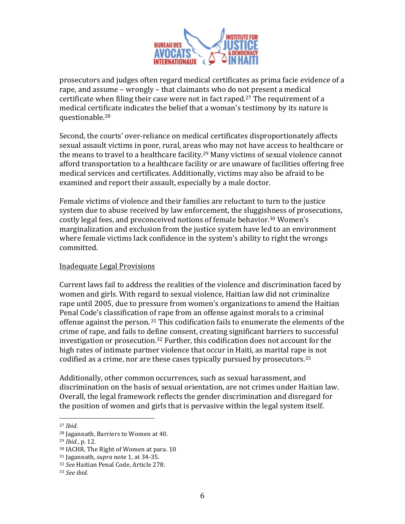

prosecutors and judges often regard medical certificates as prima facie evidence of a rape, and assume – wrongly – that claimants who do not present a medical certificate when filing their case were not in fact raped.<sup>27</sup> The requirement of a medical certificate indicates the belief that a woman's testimony by its nature is questionable.28

Second, the courts' over-reliance on medical certificates disproportionately affects sexual assault victims in poor, rural, areas who may not have access to healthcare or the means to travel to a healthcare facility.<sup>29</sup> Many victims of sexual violence cannot afford transportation to a healthcare facility or are unaware of facilities offering free medical services and certificates. Additionally, victims may also be afraid to be examined and report their assault, especially by a male doctor.

Female victims of violence and their families are reluctant to turn to the justice system due to abuse received by law enforcement, the sluggishness of prosecutions, costly legal fees, and preconceived notions of female behavior.<sup>30</sup> Women's marginalization and exclusion from the justice system have led to an environment where female victims lack confidence in the system's ability to right the wrongs committed.

#### **Inadequate Legal Provisions**

Current laws fail to address the realities of the violence and discrimination faced by women and girls. With regard to sexual violence, Haitian law did not criminalize rape until 2005, due to pressure from women's organizations to amend the Haitian Penal Code's classification of rape from an offense against morals to a criminal offense against the person.  $31$  This codification fails to enumerate the elements of the crime of rape, and fails to define consent, creating significant barriers to successful investigation or prosecution.<sup>32</sup> Further, this codification does not account for the high rates of intimate partner violence that occur in Haiti, as marital rape is not codified as a crime, nor are these cases typically pursued by prosecutors.<sup>33</sup>

Additionally, other common occurrences, such as sexual harassment, and discrimination on the basis of sexual orientation, are not crimes under Haitian law. Overall, the legal framework reflects the gender discrimination and disregard for the position of women and girls that is pervasive within the legal system itself.

<sup>27</sup> *Ibid.*

<sup>&</sup>lt;sup>28</sup> Jagannath, Barriers to Women at 40.

<sup>29</sup> *Ibid.*, p. 12.

<sup>&</sup>lt;sup>30</sup> IACHR. The Right of Women at para. 10

<sup>31</sup> Jagannath, *supra* note 1, at 34-35.

<sup>&</sup>lt;sup>32</sup> See Haitian Penal Code, Article 278.

<sup>&</sup>lt;sup>33</sup> See ibid.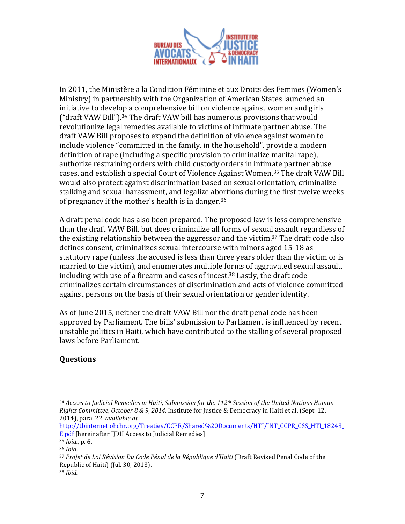

In 2011, the Ministère a la Condition Féminine et aux Droits des Femmes (Women's Ministry) in partnership with the Organization of American States launched an initiative to develop a comprehensive bill on violence against women and girls ("draft VAW Bill").<sup>34</sup> The draft VAW bill has numerous provisions that would revolutionize legal remedies available to victims of intimate partner abuse. The draft VAW Bill proposes to expand the definition of violence against women to include violence "committed in the family, in the household", provide a modern definition of rape (including a specific provision to criminalize marital rape), authorize restraining orders with child custody orders in intimate partner abuse cases, and establish a special Court of Violence Against Women.<sup>35</sup> The draft VAW Bill would also protect against discrimination based on sexual orientation, criminalize stalking and sexual harassment, and legalize abortions during the first twelve weeks of pregnancy if the mother's health is in danger.<sup>36</sup>

A draft penal code has also been prepared. The proposed law is less comprehensive than the draft VAW Bill, but does criminalize all forms of sexual assault regardless of the existing relationship between the aggressor and the victim.<sup>37</sup> The draft code also defines consent, criminalizes sexual intercourse with minors aged 15-18 as statutory rape (unless the accused is less than three years older than the victim or is married to the victim), and enumerates multiple forms of aggravated sexual assault, including with use of a firearm and cases of incest.<sup>38</sup> Lastly, the draft code criminalizes certain circumstances of discrimination and acts of violence committed against persons on the basis of their sexual orientation or gender identity.

As of June 2015, neither the draft VAW Bill nor the draft penal code has been approved by Parliament. The bills' submission to Parliament is influenced by recent unstable politics in Haiti, which have contributed to the stalling of several proposed laws before Parliament.

## **Questions**

!!!!!!!!!!!!!!!!!!!!!!!!!!!!!!!!!!!!!!!!!!!!!!!!!!!!!!!

http://tbinternet.ohchr.org/Treaties/CCPR/Shared%20Documents/HTI/INT\_CCPR\_CSS\_HTI\_18243\_ E.pdf [hereinafter IJDH Access to Judicial Remedies]

<sup>&</sup>lt;sup>34</sup> *Access to Judicial Remedies in Haiti, Submission for the 112<sup>th</sup> Session of the United Nations Human Rights Committee, October 8 & 9, 2014, Institute for Justice & Democracy in Haiti et al. (Sept. 12,* 2014), para. 22, *available at* 

<sup>35</sup> *Ibid.*, p. 6.

<sup>36</sup> *Ibid.&*

<sup>&</sup>lt;sup>37</sup> Projet de Loi Révision Du Code Pénal de la République d'Haiti (Draft Revised Penal Code of the Republic of Haiti) (Jul. 30, 2013).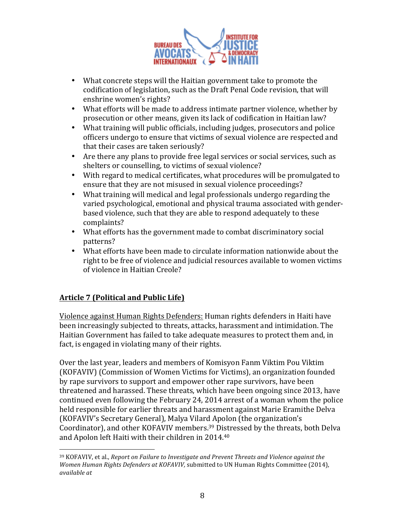

- What concrete steps will the Haitian government take to promote the codification of legislation, such as the Draft Penal Code revision, that will enshrine women's rights?
- What efforts will be made to address intimate partner violence, whether by prosecution or other means, given its lack of codification in Haitian law?
- What training will public officials, including judges, prosecutors and police officers undergo to ensure that victims of sexual violence are respected and that their cases are taken seriously?
- Are there any plans to provide free legal services or social services, such as shelters or counselling, to victims of sexual violence?
- With regard to medical certificates, what procedures will be promulgated to ensure that they are not misused in sexual violence proceedings?
- What training will medical and legal professionals undergo regarding the varied psychological, emotional and physical trauma associated with genderbased violence, such that they are able to respond adequately to these complaints?
- What efforts has the government made to combat discriminatory social patterns?
- What efforts have been made to circulate information nationwide about the right to be free of violence and judicial resources available to women victims of violence in Haitian Creole?

# **Article 7 (Political and Public Life)**

Violence against Human Rights Defenders: Human rights defenders in Haiti have been increasingly subjected to threats, attacks, harassment and intimidation. The Haitian Government has failed to take adequate measures to protect them and, in fact, is engaged in violating many of their rights.

Over the last year, leaders and members of Komisyon Fanm Viktim Pou Viktim (KOFAVIV) (Commission of Women Victims for Victims), an organization founded by rape survivors to support and empower other rape survivors, have been threatened and harassed. These threats, which have been ongoing since 2013, have continued even following the February 24, 2014 arrest of a woman whom the police held responsible for earlier threats and harassment against Marie Eramithe Delva (KOFAVIV's Secretary General), Malya Vilard Apolon (the organization's Coordinator), and other KOFAVIV members.<sup>39</sup> Distressed by the threats, both Delva and Apolon left Haiti with their children in 2014.<sup>40</sup>

<sup>!!!!!!!!!!!!!!!!!!!!!!!!!!!!!!!!!!!!!!!!!!!!!!!!!!!!!!!</sup> <sup>39</sup> KOFAVIV, et al., *Report on Failure to Investigate and Prevent Threats and Violence against the Women Human Rights Defenders at KOFAVIV,* submitted to UN Human Rights Committee (2014), *available&at&*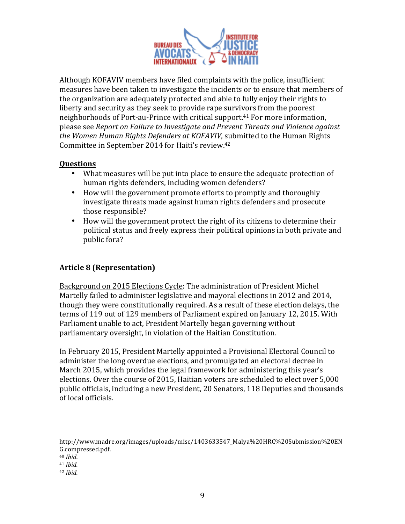

Although KOFAVIV members have filed complaints with the police, insufficient measures have been taken to investigate the incidents or to ensure that members of the organization are adequately protected and able to fully enjoy their rights to liberty and security as they seek to provide rape survivors from the poorest neighborhoods of Port-au-Prince with critical support.<sup>41</sup> For more information, please see *Report on Failure to Investigate and Prevent Threats and Violence against the Women Human Rights Defenders at KOFAVIV*, submitted to the Human Rights Committee in September 2014 for Haiti's review.<sup>42</sup>

## **Questions**

- What measures will be put into place to ensure the adequate protection of human rights defenders, including women defenders?
- How will the government promote efforts to promptly and thoroughly investigate threats made against human rights defenders and prosecute those responsible?
- How will the government protect the right of its citizens to determine their political status and freely express their political opinions in both private and public fora?

# **Article&8&(Representation)&**

Background on 2015 Elections Cycle: The administration of President Michel Martelly failed to administer legislative and mayoral elections in 2012 and 2014, though they were constitutionally required. As a result of these election delays, the terms of 119 out of 129 members of Parliament expired on January 12, 2015. With Parliament unable to act, President Martelly began governing without parliamentary oversight, in violation of the Haitian Constitution.

In February 2015, President Martelly appointed a Provisional Electoral Council to administer the long overdue elections, and promulgated an electoral decree in March 2015, which provides the legal framework for administering this year's elections. Over the course of 2015, Haitian voters are scheduled to elect over 5,000 public officials, including a new President, 20 Senators, 118 Deputies and thousands of local officials.

<sup>!!!!!!!!!!!!!!!!!!!!!!!!!!!!!!!!!!!!!!!!!!!!!!!!!!!!!!!!!!!!!!!!!!!!!!!!!!!!!!!!!!!!!!!!!!!!!!!!!!!!!!!!!!!!!!!!!!!!!!!!!!!!!!!!!!!!!!!!!!!!!!!!!!!!!!!!!!!!!!!!!!!!</sup> http://www.madre.org/images/uploads/misc/1403633547\_Malya%20HRC%20Submission%20EN G.compressed.pdf.!

<sup>40</sup> *Ibid.&*

<sup>41</sup> *Ibid.&*

<sup>42</sup> *Ibid.*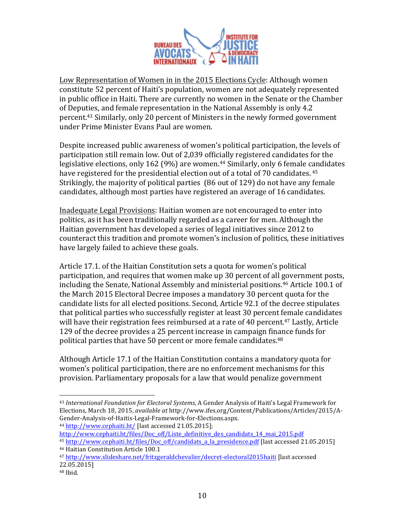

Low Representation of Women in in the 2015 Elections Cycle: Although women constitute 52 percent of Haiti's population, women are not adequately represented in public office in Haiti. There are currently no women in the Senate or the Chamber of Deputies, and female representation in the National Assembly is only 4.2 percent.<sup>43</sup> Similarly, only 20 percent of Ministers in the newly formed government under Prime Minister Evans Paul are women.

Despite increased public awareness of women's political participation, the levels of participation still remain low. Out of 2,039 officially registered candidates for the legislative elections, only 162 (9%) are women.<sup>44</sup> Similarly, only 6 female candidates have registered for the presidential election out of a total of 70 candidates. 45 Strikingly, the majority of political parties (86 out of 129) do not have any female candidates, although most parties have registered an average of 16 candidates.

Inadequate Legal Provisions: Haitian women are not encouraged to enter into politics, as it has been traditionally regarded as a career for men. Although the Haitian government has developed a series of legal initiatives since 2012 to counteract this tradition and promote women's inclusion of politics, these initiatives have largely failed to achieve these goals.

Article 17.1. of the Haitian Constitution sets a quota for women's political participation, and requires that women make up 30 percent of all government posts, including the Senate, National Assembly and ministerial positions.<sup>46</sup> Article 100.1 of the March 2015 Electoral Decree imposes a mandatory 30 percent quota for the candidate lists for all elected positions. Second, Article 92.1 of the decree stipulates that political parties who successfully register at least 30 percent female candidates will have their registration fees reimbursed at a rate of 40 percent.<sup>47</sup> Lastly, Article 129 of the decree provides a 25 percent increase in campaign finance funds for political parties that have 50 percent or more female candidates.<sup>48</sup>

Although Article 17.1 of the Haitian Constitution contains a mandatory quota for women's political participation, there are no enforcement mechanisms for this provision. Parliamentary proposals for a law that would penalize government

44 http://www.cephaiti.ht/ [last accessed 21.05.2015];

!!!!!!!!!!!!!!!!!!!!!!!!!!!!!!!!!!!!!!!!!!!!!!!!!!!!!!!

http://www.cephaiti.ht/files/Doc\_off/Liste\_definitive\_des\_candidats\_14\_mai\_2015.pdf <sup>45</sup> http://www.cephaiti.ht/files/Doc\_off/candidats\_a\_la\_presidence.pdf [last accessed 21.05.2015] <sup>46</sup> Haitian Constitution Article 100.1

<sup>&</sup>lt;sup>43</sup> International Foundation for Electoral Systems, A Gender Analysis of Haiti's Legal Framework for Elections, March 18, 2015, *available at http://www.ifes.org/Content/Publications/Articles/2015/A-*Gender-Analysis-of-Haitis-Legal-Framework-for-Elections.aspx.

<sup>&</sup>lt;sup>47</sup> http://www.slideshare.net/fritzgeraldchevalier/decret-electoral2015haiti [last accessed 22.05.2015]

 $48$  Ibid.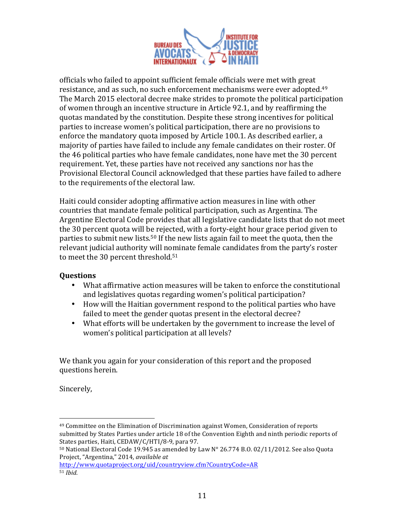

officials who failed to appoint sufficient female officials were met with great resistance, and as such, no such enforcement mechanisms were ever adopted.<sup>49</sup> The March 2015 electoral decree make strides to promote the political participation of women through an incentive structure in Article 92.1, and by reaffirming the quotas mandated by the constitution. Despite these strong incentives for political parties to increase women's political participation, there are no provisions to enforce the mandatory quota imposed by Article 100.1. As described earlier, a majority of parties have failed to include any female candidates on their roster. Of the 46 political parties who have female candidates, none have met the 30 percent requirement. Yet, these parties have not received any sanctions nor has the Provisional Electoral Council acknowledged that these parties have failed to adhere to the requirements of the electoral law.

Haiti could consider adopting affirmative action measures in line with other countries that mandate female political participation, such as Argentina. The Argentine Electoral Code provides that all legislative candidate lists that do not meet the 30 percent quota will be rejected, with a forty-eight hour grace period given to parties to submit new lists.<sup>50</sup> If the new lists again fail to meet the quota, then the relevant judicial authority will nominate female candidates from the party's roster to meet the 30 percent threshold.<sup>51</sup>

### **Questions**

- What affirmative action measures will be taken to enforce the constitutional and legislatives quotas regarding women's political participation?
- How will the Haitian government respond to the political parties who have failed to meet the gender quotas present in the electoral decree?
- What efforts will be undertaken by the government to increase the level of women's political participation at all levels?

We thank you again for your consideration of this report and the proposed questions herein.

Sincerely,

!!!!!!!!!!!!!!!!!!!!!!!!!!!!!!!!!!!!!!!!!!!!!!!!!!!!!!!

http://www.quotaproject.org/uid/countryview.cfm?CountryCode=AR <sup>51</sup> *Ibid.&*

<sup>&</sup>lt;sup>49</sup> Committee on the Elimination of Discrimination against Women, Consideration of reports submitted by States Parties under article 18 of the Convention Eighth and ninth periodic reports of States parties, Haiti, CEDAW/C/HTI/8-9, para 97.

 $50$  National Electoral Code 19.945 as amended by Law N° 26.774 B.O. 02/11/2012. See also Quota Project, "Argentina," 2014, *available at*